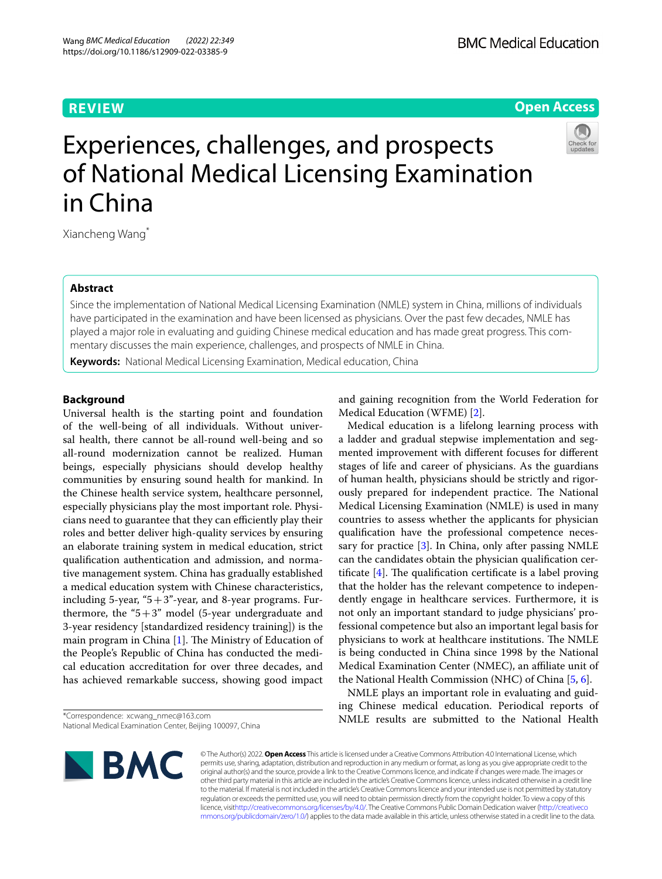## **REVIEW**

## **Open Access**



# Experiences, challenges, and prospects of National Medical Licensing Examination in China

Xiancheng Wang\*

## **Abstract**

Since the implementation of National Medical Licensing Examination (NMLE) system in China, millions of individuals have participated in the examination and have been licensed as physicians. Over the past few decades, NMLE has played a major role in evaluating and guiding Chinese medical education and has made great progress. This commentary discusses the main experience, challenges, and prospects of NMLE in China.

**Keywords:** National Medical Licensing Examination, Medical education, China

## **Background**

Universal health is the starting point and foundation of the well-being of all individuals. Without universal health, there cannot be all-round well-being and so all-round modernization cannot be realized. Human beings, especially physicians should develop healthy communities by ensuring sound health for mankind. In the Chinese health service system, healthcare personnel, especially physicians play the most important role. Physicians need to guarantee that they can efficiently play their roles and better deliver high-quality services by ensuring an elaborate training system in medical education, strict qualifcation authentication and admission, and normative management system. China has gradually established a medical education system with Chinese characteristics, including 5-year, " $5+3$ "-year, and 8-year programs. Furthermore, the " $5+3$ " model (5-year undergraduate and 3-year residency [standardized residency training]) is the main program in China  $[1]$  $[1]$ . The Ministry of Education of the People's Republic of China has conducted the medical education accreditation for over three decades, and has achieved remarkable success, showing good impact

\*Correspondence: xcwang\_nmec@163.com National Medical Examination Center, Beijing 100097, China

**NBMC** 

and gaining recognition from the World Federation for Medical Education (WFME) [\[2\]](#page-3-1).

Medical education is a lifelong learning process with a ladder and gradual stepwise implementation and segmented improvement with diferent focuses for diferent stages of life and career of physicians. As the guardians of human health, physicians should be strictly and rigorously prepared for independent practice. The National Medical Licensing Examination (NMLE) is used in many countries to assess whether the applicants for physician qualifcation have the professional competence necessary for practice [[3\]](#page-3-2). In China, only after passing NMLE can the candidates obtain the physician qualifcation certificate  $[4]$  $[4]$ . The qualification certificate is a label proving that the holder has the relevant competence to independently engage in healthcare services. Furthermore, it is not only an important standard to judge physicians' professional competence but also an important legal basis for physicians to work at healthcare institutions. The NMLE is being conducted in China since 1998 by the National Medical Examination Center (NMEC), an afliate unit of the National Health Commission (NHC) of China [\[5](#page-3-4), [6\]](#page-3-5).

NMLE plays an important role in evaluating and guiding Chinese medical education. Periodical reports of NMLE results are submitted to the National Health

© The Author(s) 2022. **Open Access** This article is licensed under a Creative Commons Attribution 4.0 International License, which permits use, sharing, adaptation, distribution and reproduction in any medium or format, as long as you give appropriate credit to the original author(s) and the source, provide a link to the Creative Commons licence, and indicate if changes were made. The images or other third party material in this article are included in the article's Creative Commons licence, unless indicated otherwise in a credit line to the material. If material is not included in the article's Creative Commons licence and your intended use is not permitted by statutory regulation or exceeds the permitted use, you will need to obtain permission directly from the copyright holder. To view a copy of this licence, visi[thttp://creativecommons.org/licenses/by/4.0/](http://creativecommons.org/licenses/by/4.0/). The Creative Commons Public Domain Dedication waiver [\(http://creativeco](http://creativecommons.org/publicdomain/zero/1.0/) [mmons.org/publicdomain/zero/1.0/](http://creativecommons.org/publicdomain/zero/1.0/)) applies to the data made available in this article, unless otherwise stated in a credit line to the data.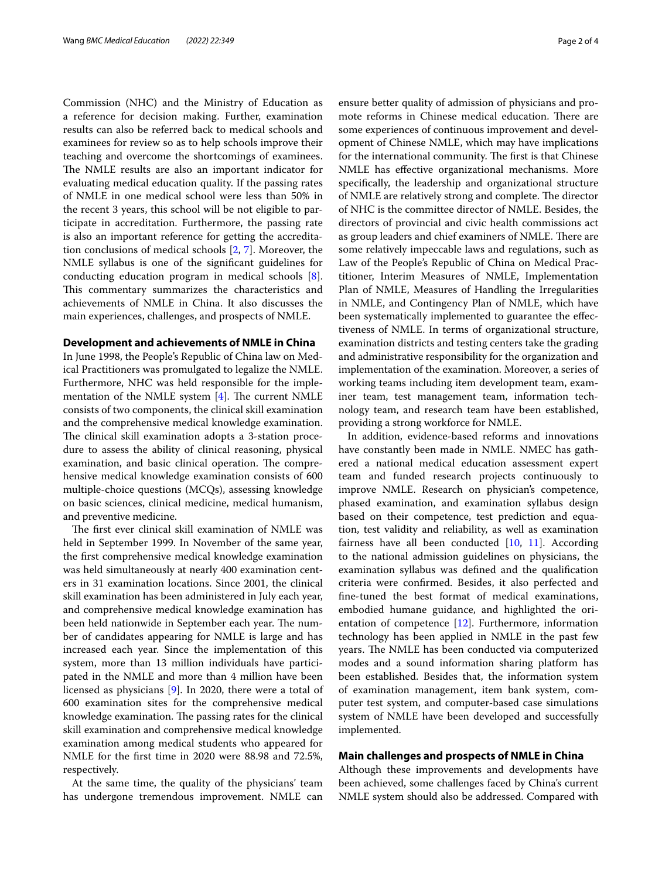Commission (NHC) and the Ministry of Education as a reference for decision making. Further, examination results can also be referred back to medical schools and examinees for review so as to help schools improve their teaching and overcome the shortcomings of examinees. The NMLE results are also an important indicator for evaluating medical education quality. If the passing rates of NMLE in one medical school were less than 50% in the recent 3 years, this school will be not eligible to participate in accreditation. Furthermore, the passing rate is also an important reference for getting the accreditation conclusions of medical schools [[2](#page-3-1), [7](#page-3-6)]. Moreover, the NMLE syllabus is one of the signifcant guidelines for conducting education program in medical schools [\[8](#page-3-7)]. This commentary summarizes the characteristics and achievements of NMLE in China. It also discusses the main experiences, challenges, and prospects of NMLE.

#### **Development and achievements of NMLE in China**

In June 1998, the People's Republic of China law on Medical Practitioners was promulgated to legalize the NMLE. Furthermore, NHC was held responsible for the implementation of the NMLE system  $[4]$  $[4]$ . The current NMLE consists of two components, the clinical skill examination and the comprehensive medical knowledge examination. The clinical skill examination adopts a 3-station procedure to assess the ability of clinical reasoning, physical examination, and basic clinical operation. The comprehensive medical knowledge examination consists of 600 multiple-choice questions (MCQs), assessing knowledge on basic sciences, clinical medicine, medical humanism, and preventive medicine.

The first ever clinical skill examination of NMLE was held in September 1999. In November of the same year, the frst comprehensive medical knowledge examination was held simultaneously at nearly 400 examination centers in 31 examination locations. Since 2001, the clinical skill examination has been administered in July each year, and comprehensive medical knowledge examination has been held nationwide in September each year. The number of candidates appearing for NMLE is large and has increased each year. Since the implementation of this system, more than 13 million individuals have participated in the NMLE and more than 4 million have been licensed as physicians [[9\]](#page-3-8). In 2020, there were a total of 600 examination sites for the comprehensive medical knowledge examination. The passing rates for the clinical skill examination and comprehensive medical knowledge examination among medical students who appeared for NMLE for the frst time in 2020 were 88.98 and 72.5%, respectively.

At the same time, the quality of the physicians' team has undergone tremendous improvement. NMLE can ensure better quality of admission of physicians and promote reforms in Chinese medical education. There are some experiences of continuous improvement and development of Chinese NMLE, which may have implications for the international community. The first is that Chinese NMLE has efective organizational mechanisms. More specifcally, the leadership and organizational structure of NMLE are relatively strong and complete. The director of NHC is the committee director of NMLE. Besides, the directors of provincial and civic health commissions act as group leaders and chief examiners of NMLE. There are some relatively impeccable laws and regulations, such as Law of the People's Republic of China on Medical Practitioner, Interim Measures of NMLE, Implementation Plan of NMLE, Measures of Handling the Irregularities in NMLE, and Contingency Plan of NMLE, which have been systematically implemented to guarantee the efectiveness of NMLE. In terms of organizational structure, examination districts and testing centers take the grading and administrative responsibility for the organization and implementation of the examination. Moreover, a series of working teams including item development team, examiner team, test management team, information technology team, and research team have been established, providing a strong workforce for NMLE.

In addition, evidence-based reforms and innovations have constantly been made in NMLE. NMEC has gathered a national medical education assessment expert team and funded research projects continuously to improve NMLE. Research on physician's competence, phased examination, and examination syllabus design based on their competence, test prediction and equation, test validity and reliability, as well as examination fairness have all been conducted [[10,](#page-3-9) [11](#page-3-10)]. According to the national admission guidelines on physicians, the examination syllabus was defned and the qualifcation criteria were confrmed. Besides, it also perfected and fne-tuned the best format of medical examinations, embodied humane guidance, and highlighted the orientation of competence [[12](#page-3-11)]. Furthermore, information technology has been applied in NMLE in the past few years. The NMLE has been conducted via computerized modes and a sound information sharing platform has been established. Besides that, the information system of examination management, item bank system, computer test system, and computer-based case simulations system of NMLE have been developed and successfully implemented.

## **Main challenges and prospects of NMLE in China**

Although these improvements and developments have been achieved, some challenges faced by China's current NMLE system should also be addressed. Compared with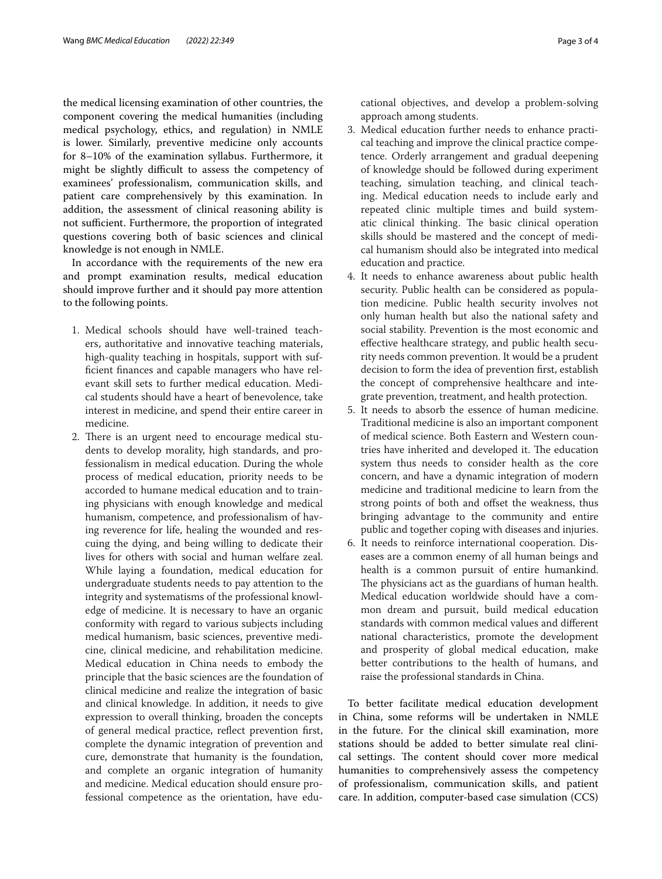the medical licensing examination of other countries, the component covering the medical humanities (including medical psychology, ethics, and regulation) in NMLE is lower. Similarly, preventive medicine only accounts for 8–10% of the examination syllabus. Furthermore, it might be slightly difficult to assess the competency of examinees' professionalism, communication skills, and patient care comprehensively by this examination. In addition, the assessment of clinical reasoning ability is not sufficient. Furthermore, the proportion of integrated questions covering both of basic sciences and clinical knowledge is not enough in NMLE.

In accordance with the requirements of the new era and prompt examination results, medical education should improve further and it should pay more attention to the following points.

- 1. Medical schools should have well-trained teachers, authoritative and innovative teaching materials, high-quality teaching in hospitals, support with suffcient fnances and capable managers who have relevant skill sets to further medical education. Medical students should have a heart of benevolence, take interest in medicine, and spend their entire career in medicine.
- 2. There is an urgent need to encourage medical students to develop morality, high standards, and professionalism in medical education. During the whole process of medical education, priority needs to be accorded to humane medical education and to training physicians with enough knowledge and medical humanism, competence, and professionalism of having reverence for life, healing the wounded and rescuing the dying, and being willing to dedicate their lives for others with social and human welfare zeal. While laying a foundation, medical education for undergraduate students needs to pay attention to the integrity and systematisms of the professional knowledge of medicine. It is necessary to have an organic conformity with regard to various subjects including medical humanism, basic sciences, preventive medicine, clinical medicine, and rehabilitation medicine. Medical education in China needs to embody the principle that the basic sciences are the foundation of clinical medicine and realize the integration of basic and clinical knowledge. In addition, it needs to give expression to overall thinking, broaden the concepts of general medical practice, refect prevention frst, complete the dynamic integration of prevention and cure, demonstrate that humanity is the foundation, and complete an organic integration of humanity and medicine. Medical education should ensure professional competence as the orientation, have edu-

cational objectives, and develop a problem-solving approach among students.

- 3. Medical education further needs to enhance practical teaching and improve the clinical practice competence. Orderly arrangement and gradual deepening of knowledge should be followed during experiment teaching, simulation teaching, and clinical teaching. Medical education needs to include early and repeated clinic multiple times and build systematic clinical thinking. The basic clinical operation skills should be mastered and the concept of medical humanism should also be integrated into medical education and practice.
- 4. It needs to enhance awareness about public health security. Public health can be considered as population medicine. Public health security involves not only human health but also the national safety and social stability. Prevention is the most economic and efective healthcare strategy, and public health security needs common prevention. It would be a prudent decision to form the idea of prevention frst, establish the concept of comprehensive healthcare and integrate prevention, treatment, and health protection.
- 5. It needs to absorb the essence of human medicine. Traditional medicine is also an important component of medical science. Both Eastern and Western countries have inherited and developed it. The education system thus needs to consider health as the core concern, and have a dynamic integration of modern medicine and traditional medicine to learn from the strong points of both and offset the weakness, thus bringing advantage to the community and entire public and together coping with diseases and injuries.
- 6. It needs to reinforce international cooperation. Diseases are a common enemy of all human beings and health is a common pursuit of entire humankind. The physicians act as the guardians of human health. Medical education worldwide should have a common dream and pursuit, build medical education standards with common medical values and diferent national characteristics, promote the development and prosperity of global medical education, make better contributions to the health of humans, and raise the professional standards in China.

To better facilitate medical education development in China, some reforms will be undertaken in NMLE in the future. For the clinical skill examination, more stations should be added to better simulate real clinical settings. The content should cover more medical humanities to comprehensively assess the competency of professionalism, communication skills, and patient care. In addition, computer-based case simulation (CCS)